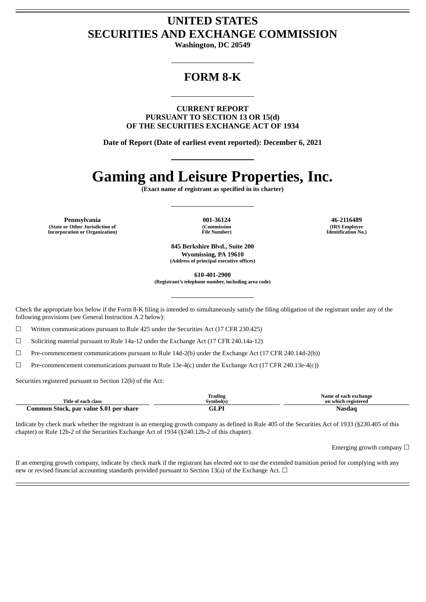## **UNITED STATES SECURITIES AND EXCHANGE COMMISSION**

**Washington, DC 20549**

## **FORM 8-K**

**CURRENT REPORT PURSUANT TO SECTION 13 OR 15(d) OF THE SECURITIES EXCHANGE ACT OF 1934**

**Date of Report (Date of earliest event reported): December 6, 2021**

# **Gaming and Leisure Properties, Inc.**

**(Exact name of registrant as specified in its charter)**

**Pennsylvania 001-36124 46-2116489 (State or Other Jurisdiction of Incorporation or Organization)**

**(Commission File Number)**

**(IRS Employer Identification No.)**

**845 Berkshire Blvd., Suite 200 Wyomissing, PA 19610 (Address of principal executive offices)**

**610-401-2900**

**(Registrant's telephone number, including area code)**

Check the appropriate box below if the Form 8-K filing is intended to simultaneously satisfy the filing obligation of the registrant under any of the following provisions (see General Instruction A.2 below):

☐ Written communications pursuant to Rule 425 under the Securities Act (17 CFR 230.425)

 $\Box$  Soliciting material pursuant to Rule 14a-12 under the Exchange Act (17 CFR 240.14a-12)

☐ Pre-commencement communications pursuant to Rule 14d-2(b) under the Exchange Act (17 CFR 240.14d-2(b))

 $\Box$  Pre-commencement communications pursuant to Rule 13e-4(c) under the Exchange Act (17 CFR 240.13e-4(c))

Securities registered pursuant to Section 12(b) of the Act:

| Title of each class                     | Trading<br>Svmbol(s) | Name of each exchange<br>on which registered |
|-----------------------------------------|----------------------|----------------------------------------------|
| Common Stock, par value \$.01 per share | GLP'                 | Nasdad                                       |

Indicate by check mark whether the registrant is an emerging growth company as defined in Rule 405 of the Securities Act of 1933 (§230.405 of this chapter) or Rule 12b-2 of the Securities Exchange Act of 1934 (§240.12b-2 of this chapter).

Emerging growth company  $\Box$ 

If an emerging growth company, indicate by check mark if the registrant has elected not to use the extended transition period for complying with any new or revised financial accounting standards provided pursuant to Section 13(a) of the Exchange Act.  $\Box$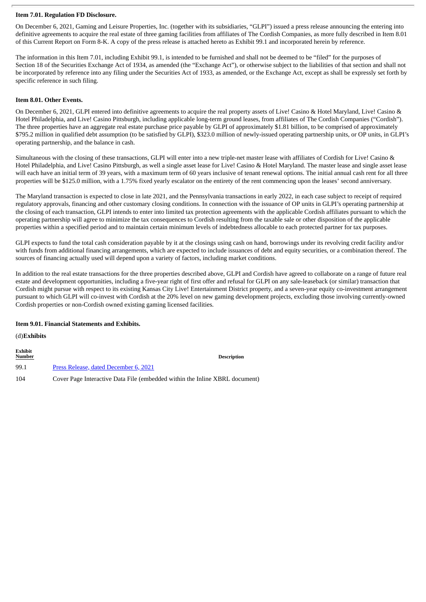#### **Item 7.01. Regulation FD Disclosure.**

On December 6, 2021, Gaming and Leisure Properties, Inc. (together with its subsidiaries, "GLPI") issued a press release announcing the entering into definitive agreements to acquire the real estate of three gaming facilities from affiliates of The Cordish Companies, as more fully described in Item 8.01 of this Current Report on Form 8-K. A copy of the press release is attached hereto as Exhibit 99.1 and incorporated herein by reference.

The information in this Item 7.01, including Exhibit 99.1, is intended to be furnished and shall not be deemed to be "filed" for the purposes of Section 18 of the Securities Exchange Act of 1934, as amended (the "Exchange Act"), or otherwise subject to the liabilities of that section and shall not be incorporated by reference into any filing under the Securities Act of 1933, as amended, or the Exchange Act, except as shall be expressly set forth by specific reference in such filing.

#### **Item 8.01. Other Events.**

On December 6, 2021, GLPI entered into definitive agreements to acquire the real property assets of Live! Casino & Hotel Maryland, Live! Casino & Hotel Philadelphia, and Live! Casino Pittsburgh, including applicable long-term ground leases, from affiliates of The Cordish Companies ("Cordish"). The three properties have an aggregate real estate purchase price payable by GLPI of approximately \$1.81 billion, to be comprised of approximately \$795.2 million in qualified debt assumption (to be satisfied by GLPI), \$323.0 million of newly-issued operating partnership units, or OP units, in GLPI's operating partnership, and the balance in cash.

Simultaneous with the closing of these transactions, GLPI will enter into a new triple-net master lease with affiliates of Cordish for Live! Casino & Hotel Philadelphia, and Live! Casino Pittsburgh, as well a single asset lease for Live! Casino & Hotel Maryland. The master lease and single asset lease will each have an initial term of 39 years, with a maximum term of 60 years inclusive of tenant renewal options. The initial annual cash rent for all three properties will be \$125.0 million, with a 1.75% fixed yearly escalator on the entirety of the rent commencing upon the leases' second anniversary.

The Maryland transaction is expected to close in late 2021, and the Pennsylvania transactions in early 2022, in each case subject to receipt of required regulatory approvals, financing and other customary closing conditions. In connection with the issuance of OP units in GLPI's operating partnership at the closing of each transaction, GLPI intends to enter into limited tax protection agreements with the applicable Cordish affiliates pursuant to which the operating partnership will agree to minimize the tax consequences to Cordish resulting from the taxable sale or other disposition of the applicable properties within a specified period and to maintain certain minimum levels of indebtedness allocable to each protected partner for tax purposes.

GLPI expects to fund the total cash consideration payable by it at the closings using cash on hand, borrowings under its revolving credit facility and/or with funds from additional financing arrangements, which are expected to include issuances of debt and equity securities, or a combination thereof. The sources of financing actually used will depend upon a variety of factors, including market conditions.

In addition to the real estate transactions for the three properties described above, GLPI and Cordish have agreed to collaborate on a range of future real estate and development opportunities, including a five-year right of first offer and refusal for GLPI on any sale-leaseback (or similar) transaction that Cordish might pursue with respect to its existing Kansas City Live! Entertainment District property, and a seven-year equity co-investment arrangement pursuant to which GLPI will co-invest with Cordish at the 20% level on new gaming development projects, excluding those involving currently-owned Cordish properties or non-Cordish owned existing gaming licensed facilities.

#### **Item 9.01. Financial Statements and Exhibits.**

(d)**Exhibits**

| Exhibit<br><u>Number</u> | <b>Description</b>                                                          |
|--------------------------|-----------------------------------------------------------------------------|
| 99.1                     | Press Release, dated December 6, 2021                                       |
| 104                      | Cover Page Interactive Data File (embedded within the Inline XBRL document) |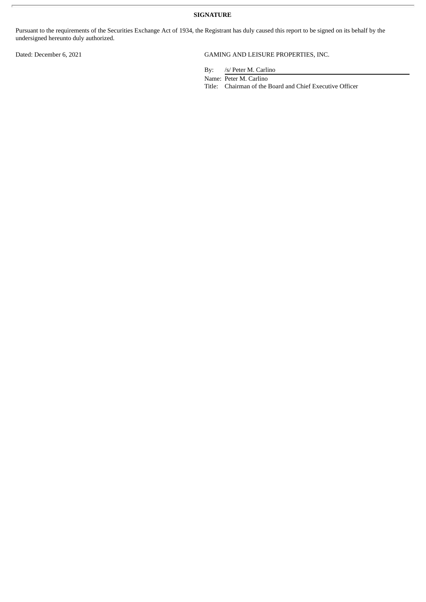**SIGNATURE**

Pursuant to the requirements of the Securities Exchange Act of 1934, the Registrant has duly caused this report to be signed on its behalf by the undersigned hereunto duly authorized.

### Dated: December 6, 2021 GAMING AND LEISURE PROPERTIES, INC.

By: /s/ Peter M. Carlino

Name: Peter M. Carlino

Title: Chairman of the Board and Chief Executive Officer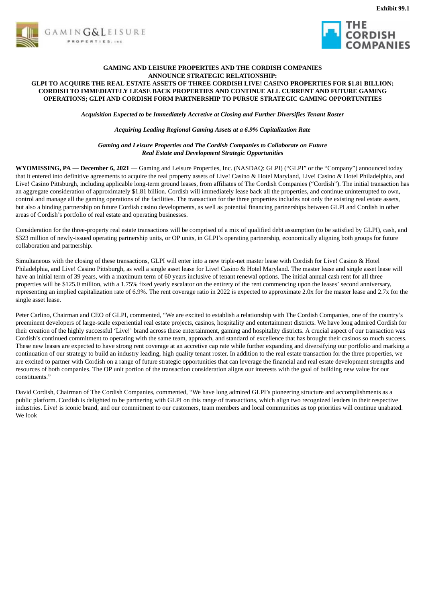<span id="page-3-0"></span>



#### **GAMING AND LEISURE PROPERTIES AND THE CORDISH COMPANIES ANNOUNCE STRATEGIC RELATIONSHIP:**

#### **GLPI TO ACQUIRE THE REAL ESTATE ASSETS OF THREE CORDISH LIVE! CASINO PROPERTIES FOR \$1.81 BILLION; CORDISH TO IMMEDIATELY LEASE BACK PROPERTIES AND CONTINUE ALL CURRENT AND FUTURE GAMING OPERATIONS; GLPI AND CORDISH FORM PARTNERSHIP TO PURSUE STRATEGIC GAMING OPPORTUNITIES**

*Acquisition Expected to be Immediately Accretive at Closing and Further Diversifies Tenant Roster*

*Acquiring Leading Regional Gaming Assets at a 6.9% Capitalization Rate*

*Gaming and Leisure Properties and The Cordish Companies to Collaborate on Future Real Estate and Development Strategic Opportunities*

**WYOMISSING, PA — December 6, 2021** — Gaming and Leisure Properties, Inc. (NASDAQ: GLPI) ("GLPI" or the "Company") announced today that it entered into definitive agreements to acquire the real property assets of Live! Casino & Hotel Maryland, Live! Casino & Hotel Philadelphia, and Live! Casino Pittsburgh, including applicable long-term ground leases, from affiliates of The Cordish Companies ("Cordish"). The initial transaction has an aggregate consideration of approximately \$1.81 billion. Cordish will immediately lease back all the properties, and continue uninterrupted to own, control and manage all the gaming operations of the facilities. The transaction for the three properties includes not only the existing real estate assets, but also a binding partnership on future Cordish casino developments, as well as potential financing partnerships between GLPI and Cordish in other areas of Cordish's portfolio of real estate and operating businesses.

Consideration for the three-property real estate transactions will be comprised of a mix of qualified debt assumption (to be satisfied by GLPI), cash, and \$323 million of newly-issued operating partnership units, or OP units, in GLPI's operating partnership, economically aligning both groups for future collaboration and partnership.

Simultaneous with the closing of these transactions, GLPI will enter into a new triple-net master lease with Cordish for Live! Casino & Hotel Philadelphia, and Live! Casino Pittsburgh, as well a single asset lease for Live! Casino & Hotel Maryland. The master lease and single asset lease will have an initial term of 39 years, with a maximum term of 60 years inclusive of tenant renewal options. The initial annual cash rent for all three properties will be \$125.0 million, with a 1.75% fixed yearly escalator on the entirety of the rent commencing upon the leases' second anniversary, representing an implied capitalization rate of 6.9%. The rent coverage ratio in 2022 is expected to approximate 2.0x for the master lease and 2.7x for the single asset lease.

Peter Carlino, Chairman and CEO of GLPI, commented, "We are excited to establish a relationship with The Cordish Companies, one of the country's preeminent developers of large-scale experiential real estate projects, casinos, hospitality and entertainment districts. We have long admired Cordish for their creation of the highly successful 'Live!' brand across these entertainment, gaming and hospitality districts. A crucial aspect of our transaction was Cordish's continued commitment to operating with the same team, approach, and standard of excellence that has brought their casinos so much success. These new leases are expected to have strong rent coverage at an accretive cap rate while further expanding and diversifying our portfolio and marking a continuation of our strategy to build an industry leading, high quality tenant roster. In addition to the real estate transaction for the three properties, we are excited to partner with Cordish on a range of future strategic opportunities that can leverage the financial and real estate development strengths and resources of both companies. The OP unit portion of the transaction consideration aligns our interests with the goal of building new value for our constituents."

David Cordish, Chairman of The Cordish Companies, commented, "We have long admired GLPI's pioneering structure and accomplishments as a public platform. Cordish is delighted to be partnering with GLPI on this range of transactions, which align two recognized leaders in their respective industries. Live! is iconic brand, and our commitment to our customers, team members and local communities as top priorities will continue unabated. We look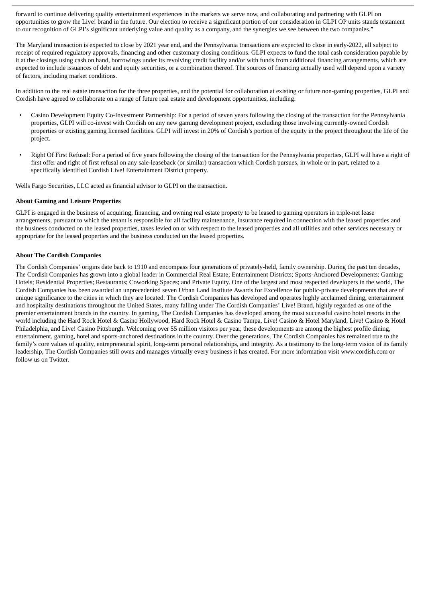forward to continue delivering quality entertainment experiences in the markets we serve now, and collaborating and partnering with GLPI on opportunities to grow the Live! brand in the future. Our election to receive a significant portion of our consideration in GLPI OP units stands testament to our recognition of GLPI's significant underlying value and quality as a company, and the synergies we see between the two companies."

The Maryland transaction is expected to close by 2021 year end, and the Pennsylvania transactions are expected to close in early-2022, all subject to receipt of required regulatory approvals, financing and other customary closing conditions. GLPI expects to fund the total cash consideration payable by it at the closings using cash on hand, borrowings under its revolving credit facility and/or with funds from additional financing arrangements, which are expected to include issuances of debt and equity securities, or a combination thereof. The sources of financing actually used will depend upon a variety of factors, including market conditions.

In addition to the real estate transaction for the three properties, and the potential for collaboration at existing or future non-gaming properties, GLPI and Cordish have agreed to collaborate on a range of future real estate and development opportunities, including:

- Casino Development Equity Co-Investment Partnership: For a period of seven years following the closing of the transaction for the Pennsylvania properties, GLPI will co-invest with Cordish on any new gaming development project, excluding those involving currently-owned Cordish properties or existing gaming licensed facilities. GLPI will invest in 20% of Cordish's portion of the equity in the project throughout the life of the project.
- Right Of First Refusal: For a period of five years following the closing of the transaction for the Pennsylvania properties, GLPI will have a right of first offer and right of first refusal on any sale-leaseback (or similar) transaction which Cordish pursues, in whole or in part, related to a specifically identified Cordish Live! Entertainment District property.

Wells Fargo Securities, LLC acted as financial advisor to GLPI on the transaction.

#### **About Gaming and Leisure Properties**

GLPI is engaged in the business of acquiring, financing, and owning real estate property to be leased to gaming operators in triple-net lease arrangements, pursuant to which the tenant is responsible for all facility maintenance, insurance required in connection with the leased properties and the business conducted on the leased properties, taxes levied on or with respect to the leased properties and all utilities and other services necessary or appropriate for the leased properties and the business conducted on the leased properties.

#### **About The Cordish Companies**

The Cordish Companies' origins date back to 1910 and encompass four generations of privately-held, family ownership. During the past ten decades, The Cordish Companies has grown into a global leader in Commercial Real Estate; Entertainment Districts; Sports-Anchored Developments; Gaming; Hotels; Residential Properties; Restaurants; Coworking Spaces; and Private Equity. One of the largest and most respected developers in the world, The Cordish Companies has been awarded an unprecedented seven Urban Land Institute Awards for Excellence for public-private developments that are of unique significance to the cities in which they are located. The Cordish Companies has developed and operates highly acclaimed dining, entertainment and hospitality destinations throughout the United States, many falling under The Cordish Companies' Live! Brand, highly regarded as one of the premier entertainment brands in the country. In gaming, The Cordish Companies has developed among the most successful casino hotel resorts in the world including the Hard Rock Hotel & Casino Hollywood, Hard Rock Hotel & Casino Tampa, Live! Casino & Hotel Maryland, Live! Casino & Hotel Philadelphia, and Live! Casino Pittsburgh. Welcoming over 55 million visitors per year, these developments are among the highest profile dining, entertainment, gaming, hotel and sports-anchored destinations in the country. Over the generations, The Cordish Companies has remained true to the family's core values of quality, entrepreneurial spirit, long-term personal relationships, and integrity. As a testimony to the long-term vision of its family leadership, The Cordish Companies still owns and manages virtually every business it has created. For more information visit www.cordish.com or follow us on Twitter.